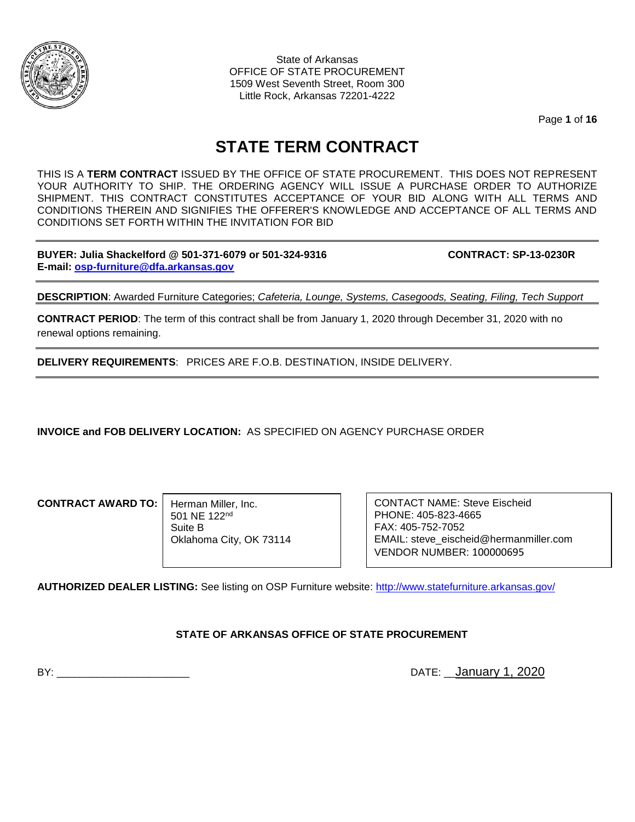

State of Arkansas OFFICE OF STATE PROCUREMENT 1509 West Seventh Street, Room 300 Little Rock, Arkansas 72201-4222

Page **1** of **16**

# **STATE TERM CONTRACT**

THIS IS A **TERM CONTRACT** ISSUED BY THE OFFICE OF STATE PROCUREMENT. THIS DOES NOT REPRESENT YOUR AUTHORITY TO SHIP. THE ORDERING AGENCY WILL ISSUE A PURCHASE ORDER TO AUTHORIZE SHIPMENT. THIS CONTRACT CONSTITUTES ACCEPTANCE OF YOUR BID ALONG WITH ALL TERMS AND CONDITIONS THEREIN AND SIGNIFIES THE OFFERER'S KNOWLEDGE AND ACCEPTANCE OF ALL TERMS AND CONDITIONS SET FORTH WITHIN THE INVITATION FOR BID

**BUYER: Julia Shackelford @ 501-371-6079 or 501-324-9316 CONTRACT: SP-13-0230R E-mail: [osp-furniture@dfa.arkansas.gov](mailto:osp-furniture@dfa.arkansas.gov)**

**DESCRIPTION**: Awarded Furniture Categories; *Cafeteria, Lounge, Systems, Casegoods, Seating, Filing, Tech Support*

**CONTRACT PERIOD**: The term of this contract shall be from January 1, 2020 through December 31, 2020 with no renewal options remaining.

**DELIVERY REQUIREMENTS**: PRICES ARE F.O.B. DESTINATION, INSIDE DELIVERY.

**INVOICE and FOB DELIVERY LOCATION:** AS SPECIFIED ON AGENCY PURCHASE ORDER

**CONTRACT AWARD TO:**

Herman Miller, Inc. 501 NE 122nd Suite B Oklahoma City, OK 73114 CONTACT NAME: Steve Eischeid PHONE: 405-823-4665 FAX: 405-752-7052 EMAIL: steve\_eischeid@hermanmiller.com VENDOR NUMBER: 100000695

**AUTHORIZED DEALER LISTING:** See listing on OSP Furniture website:<http://www.statefurniture.arkansas.gov/>

### **STATE OF ARKANSAS OFFICE OF STATE PROCUREMENT**

BY: \_\_\_\_\_\_\_\_\_\_\_\_\_\_\_\_\_\_\_\_\_\_\_ DATE: \_\_January 1, 2020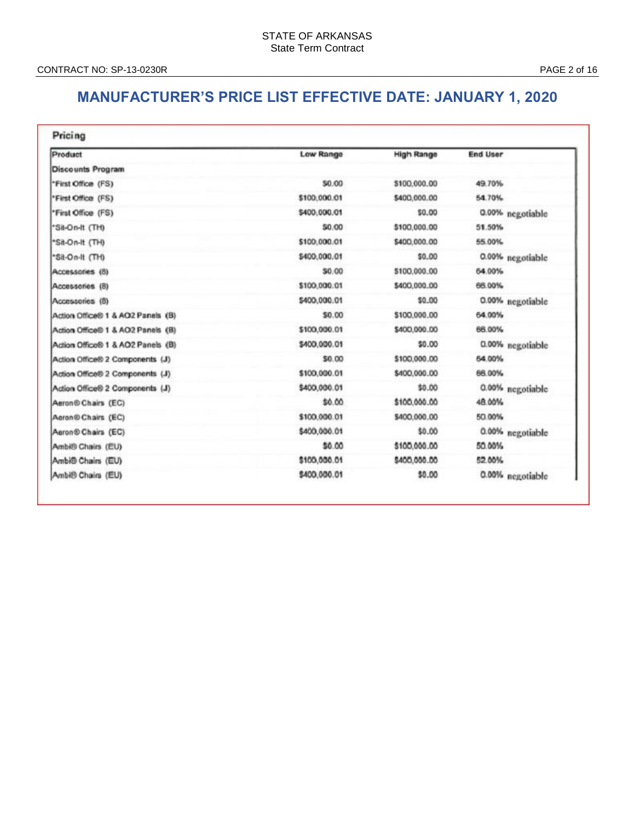## **MANUFACTURER'S PRICE LIST EFFECTIVE DATE: JANUARY 1, 2020**

| Product                           | Low Range    | <b>High Range</b> | <b>End User</b>  |
|-----------------------------------|--------------|-------------------|------------------|
| Discounts Program                 |              |                   |                  |
| "First Office (FS)                | \$0.00       | \$100,000.00      | 49.70%           |
| *First Office (FS)                | \$100,000.01 | \$400,000.00      | 54.70%           |
| *First Office (FS)                | \$400,000.01 | \$0.00            | 0.00% negotiable |
| "Sit-On-It (TH)                   | \$0.00       | \$100,000.00      | 51.50%           |
| *Sit-On-It (TH)                   | \$100,000.01 | \$400,000.00      | 55.00%           |
| *Sit-On-It (TH)                   | \$400,000.01 | \$0.00            | 0.00% negotiable |
| Accessories (8)                   | \$0.00       | \$100,000.00      | 64.00%           |
| Accessories (8)                   | \$100.000.01 | \$400,000.00      | 66.00%           |
| Accessories (8)                   | \$400,000.01 | \$0.00            | 0.00% negotiable |
| Action Office® 1 & AO2 Panels (B) | \$0.00       | \$100,000.00      | 64.00%           |
| Action Office® 1 & AO2 Panels (B) | \$100,000.01 | \$400,000.00      | 66.00%           |
| Action Office® 1 & AO2 Panels (B) | \$400,000.01 | \$0.00            | 0.00% negotiable |
| Action Office® 2 Components (J)   | \$0.00       | \$100,000.00      | 64.00%           |
| Action Office® 2 Components (J)   | \$100,000.01 | \$400,000.00      | 66.00%           |
| Action Office® 2 Components (J)   | \$400,000.01 | \$0.00            | 0.00% negotiable |
| Aeron® Chairs (EC)                | \$0.00       | \$100,000.00      | 48.00%           |
| Aeron® Chairs (EC)                | \$100,000.01 | \$400,000.00      | 50.00%           |
| Aeron <sup>®</sup> Chairs (EC)    | \$400,000.01 | \$0.00            | 0.00% negotiable |
| Ambi® Chairs (EU)                 | \$0.00       | \$100,000.00      | 50.00%           |
| Ambi <sup>®</sup> Chairs (EU)     | \$100,000.01 | \$400,000.00      | 52.00%           |
| Ambi® Chairs (EU)                 | \$400,000.01 | \$0.00            | 0.00% negotiable |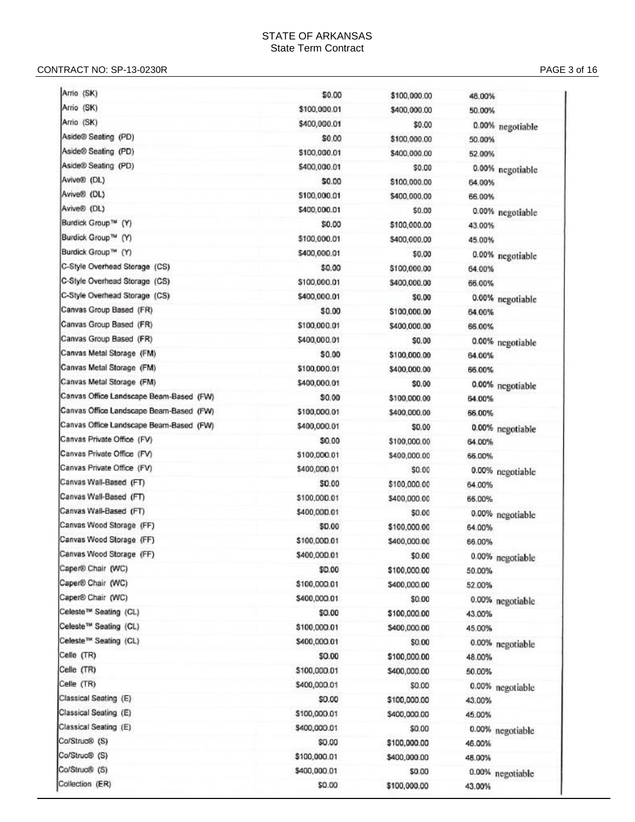#### CONTRACT NO: SP -13 -0230R PAGE

| Arrio (SK)                              | \$0.00       | \$100,000.00 | 48.00%           |
|-----------------------------------------|--------------|--------------|------------------|
| Arrio (SK)                              | \$100,000.01 | \$400,000.00 | 50.00%           |
| Arrio (SK)                              | \$400,000.01 | \$0.00       | 0.00% negotiable |
| Aside® Seating (PD)                     | \$0.00       | \$100,000.00 | 50.00%           |
| Aside® Seating (PD)                     | \$100,000.01 | \$400,000.00 | 52.00%           |
| Aside® Seating (PD)                     | \$400,000.01 | \$0.00       | 0.00% negotiable |
| Avive® (DL)                             | \$0.00       | \$100,000.00 | 64.00%           |
| Avive® (DL)                             | \$100,000.01 | \$400,000.00 | 66.00%           |
| Avive® (DL)                             | \$400,000.01 | \$0.00       | 0.00% negotiable |
| Burdick Group™ (Y)                      | \$0.00       | \$100,000.00 | 43.00%           |
| Burdick Group™ (Y)                      | \$100,000.01 | \$400,000.00 | 45.00%           |
| Burdick Group™ (Y)                      | \$400,000.01 | \$0.00       | 0.00% negotiable |
| C-Style Overhead Storage (CS)           | \$0.00       | \$100,000.00 | 64.00%           |
| C-Style Overhead Storage (CS)           | \$100,000.01 | \$400,000.00 | 66.00%           |
| C-Style Overhead Storage (CS)           | \$400,000.01 | \$0.00       | 0.00% negotiable |
| Canvas Group Based (FR)                 | \$0.00       | \$100,000.00 | 64.00%           |
| Canvas Group Based (FR)                 | \$100,000.01 | \$400,000.00 | 66.00%           |
| Canvas Group Based (FR)                 | \$400,000.01 | \$0.00       | 0.00% negotiable |
| Canvas Metal Storage (FM)               | \$0.00       | \$100,000.00 | 64.00%           |
| Canvas Metal Storage (FM)               | \$100,000.01 | \$400,000.00 | 66.00%           |
| Canvas Metal Storage (FM)               | \$400,000.01 | SO.00        | 0.00% negotiable |
| Canvas Office Landscape Beam-Based (FW) | \$0.00       | \$100,000.00 | 64.00%           |
| Canvas Office Landscape Beam-Based (FW) | \$100,000.01 | \$400,000.00 | 66.00%           |
| Canvas Office Landscape Beam-Based (FW) | \$400,000.01 | \$0.00       | 0.00% negotiable |
| Canvas Private Office (FV)              | \$0.00       | \$100,000.00 | 64.00%           |
| Canvas Private Office (FV)              | \$100,000.01 | \$400,000.00 | 66.00%           |
| Canvas Private Office (FV)              | \$400,000.01 | \$0.00       | 0.00% negotiable |
| Canvas Wall-Based (FT)                  | \$0.00       | \$100,000.00 | 64.00%           |
| Canvas Wall-Based (FT)                  | \$100,000.01 | \$400,000.00 | 66.00%           |
| Canvas Wall-Based (FT)                  | \$400,000.01 | \$0.00       | 0.00% negotiable |
| Canvas Wood Storage (FF)                | \$0.00       | \$100,000.00 | 64.00%           |
| Canvas Wood Storage (FF)                | \$100,000.01 | \$400,000.00 | 66.00%           |
| Canvas Wood Storage (FF)                | \$400,000.01 | \$0.00       | 0.00% negotiable |
| Caper® Chair (WC)                       | \$0.00       | \$100,000.00 | 50.00%           |
| Caper® Chair (WC)                       | \$100,000.01 | \$400,000.00 | 52.00%           |
| Caper® Chair (WC)                       | \$400,000.01 | \$0.00       | 0.00% negotiable |
| Celeste™ Seating (CL)                   | \$0.00       | \$100,000.00 | 43.00%           |
| Celeste™ Seating (CL)                   | \$100,000.01 | \$400,000.00 | 45.00%           |
| Celeste™ Seating (CL)                   | \$400,000.01 | \$0.00       | 0.00% negotiable |
| Celle (TR)                              | SO.00        | \$100,000.00 | 48.00%           |
| Celle (TR)                              | \$100,000.01 | \$400,000.00 | 50.00%           |
| Celle (TR)                              | \$400,000.01 | \$0.00       | 0.00% negotiable |
| Classical Seating (E)                   | \$0.00       | \$100,000.00 | 43.00%           |
| Classical Seating (E)                   | \$100,000.01 | \$400,000.00 | 45.00%           |
| Classical Seating (E)                   | \$400,000.01 | \$0.00       | 0.00% negotiable |
| Ca/Struc® (S)                           | \$0.00       | \$100,000.00 | 46.00%           |
| Co/Struc® (S)                           | \$100,000.01 | \$400,000.00 | 48.00%           |
| Co/Struc® (S)                           | \$400,000.01 | \$0.00       | 0.00% negotiable |
| Collection (ER)                         | \$0.00       | \$100,000.00 | 43.00%           |
|                                         |              |              |                  |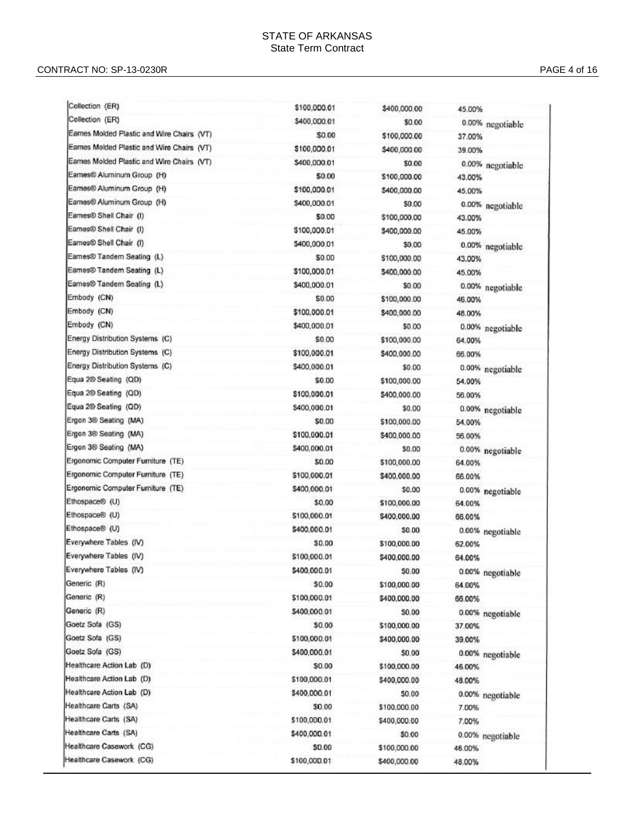| Collection (ER)                            | \$100,000.01 | \$400,000.00 | 45.00%           |
|--------------------------------------------|--------------|--------------|------------------|
| Collection (ER)                            | \$400,000.01 | \$0.00       | 0.00% negotiable |
| Eames Molded Plastic and Wire Chairs (VT)  | \$0.00       | \$100,000.00 | 37.00%           |
| Eames Molded Plastic and Wire Chairs (VT)  | \$100,000.01 | \$400,000.00 | 39.00%           |
| Earnes Molded Plastic and Wire Chairs (VT) | \$400,000.01 | \$0.00       | 0.00% negotiable |
| Eames® Aluminum Group (H)                  | \$0.00       | \$100,000.00 | 43.00%           |
| Eames® Aluminum Group (H)                  | \$100,000.01 | \$400,000.00 | 45.00%           |
| Eames® Aluminum Group (H)                  | \$400,000.01 | \$0.00       | 0.00% negotiable |
| Eames® Shell Chair (I)                     | \$0.00       | \$100,000.00 | 43.00%           |
| Eames® Shell Chair (I)                     | \$100,000.01 | \$400,000.00 | 45.00%           |
| Eames® Shell Chair (I)                     | \$400,000.01 | \$0.00       | 0.00% negotiable |
| Earnes® Tandem Seating (L)                 | \$0.00       | \$100,000.00 | 43.00%           |
| Eames® Tandem Seating (L)                  | \$100,000.01 | \$400,000.00 | 45.00%           |
| Earnes® Tandem Seating (L)                 | \$400,000.01 | \$0.00       | 0.00% negotiable |
| Embody (CN)                                | 50.00        | \$100,000.00 | 46.00%           |
| Embody (CN)                                | \$100,000.01 | \$400,000.00 | 48.00%           |
| Embody (CN)                                | \$400,000.01 | \$0.00       | 0.00% negotiable |
| Energy Distribution Systems (C)            | \$0.00       | \$100,000.00 | 64.00%           |
| Energy Distribution Systems (C)            | \$100,000.01 | \$400,000.00 | 66.00%           |
| Energy Distribution Systems (C)            | \$400,000.01 | \$0.00       | 0.00% negotiable |
| Equa 200 Seating (QD)                      | \$0.00       | \$100,000.00 | 54.00%           |
| Equa 2® Seating (QD)                       | \$100,000.01 | \$400,000.00 | 56.00%           |
| Equa 2® Seating (QD)                       | \$400,000.01 | \$0.00       | 0.00% negotiable |
| Ergon 3® Seating (MA)                      | \$0.00       | \$100,000.00 | 54.00%           |
| Ergon 38 Seating (MA)                      | \$100,000.01 | \$400,000.00 | 56.00%           |
| Ergon 3® Seating (MA)                      | \$400,000.01 | \$0.00       | 0.00% negotiable |
| Ergonomic Computer Furniture (TE)          | \$0.00       | \$100,000.00 | 64.00%           |
| Ergonomic Computer Furniture (TE)          | \$100,000.01 | \$400,000.00 | 66.00%           |
| Ergonomic Computer Furniture (TE)          | \$400,000.01 | \$0.00       | 0.00% negotiable |
| Ethospace® (U)                             | \$0.00       | \$100,000.00 | 64.00%           |
| Ethospace® (U)                             | \$100,000.01 | \$400,000.00 | 66.00%           |
| Ethospace® (U)                             | \$400,000.01 | \$0.00       | 0.00% negotiable |
| Everywhere Tables (IV)                     | \$0.00       | \$100,000.00 | 62.00%           |
| Everywhere Tables (IV)                     | \$100,000.01 | \$400,000.00 | 64.00%           |
| Everywhere Tables (IV)                     | \$400,000.01 | \$0.00       | 0.00% negotiable |
| Generic (R)                                | \$0.00       | \$100,000.00 | 64.00%           |
| Generic (R)                                | \$100,000.01 | \$400,000.00 | 66.00%           |
| Generic (R)                                | \$400,000.01 | \$0.00       | 0.00% negotiable |
| Goetz Sofa (GS)                            | \$0.00       | \$100,000.00 | 37.00%           |
| Goetz Sofa (GS)                            | \$100,000.01 | \$400,000.00 | 39.00%           |
| Goetz Sofa (GS)                            | \$400,000.01 | \$0.00       | 0.00% negotiable |
| Healthcare Action Lab (D)                  | \$0.00       | \$100,000.00 | 46.00%           |
| Healthcare Action Lab (D)                  | \$100,000.01 | \$400,000.00 | 48.00%           |
| Healthcare Action Lab (D)                  | \$400,000.01 | \$0.00       | 0.00% negotiable |
| Healthcare Carts (SA)                      | \$0.00       | \$100,000.00 | 7.00%            |
| Healthcare Carts (SA)                      | \$100,000.01 | \$400,000.00 | 7.00%            |
| Healthcare Carts (SA)                      | \$400,000.01 | \$0.00       | 0.00% negotiable |
| Healthcare Casework (CG)                   | \$0.00       | \$100,000.00 | 46.00%           |
| Healthcare Casework (CG)                   | \$100,000.01 | \$400,000.00 | 48.00%           |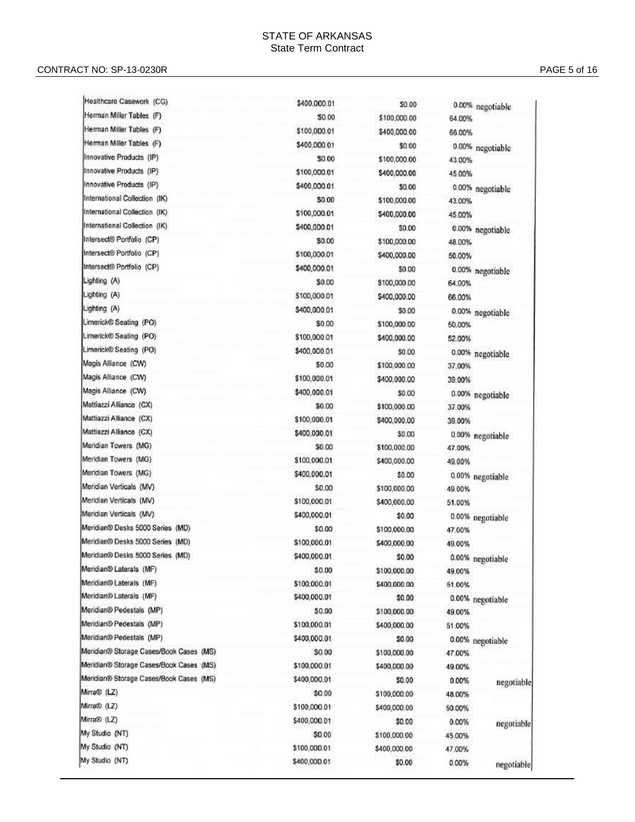#### CONTRACT NO: SP -13 -0230R PAGE

| Healthcare Casework (CG)                | \$400,000.01           | \$0.00                       |                  | 0.00% negotiable |
|-----------------------------------------|------------------------|------------------------------|------------------|------------------|
| Herman Miller Tables (F)                | \$0.00                 | \$100,000.00                 | 64.00%           |                  |
| Herman Miller Tables (F)                | \$100,000.01           | \$400,000.00                 | 66.00%           |                  |
| Herman Miller Tables (F)                | \$400,000.01           | \$0.00                       |                  | 0.00% negotiable |
| Innovative Products (IP)                | \$0.00                 | \$100,000.00                 | 43.00%           |                  |
| Innovative Products (IP)                | \$100,000.01           | \$400,000.00                 | 45.00%           |                  |
| Innovative Products (IP)                | \$400,000.01           | \$0.00                       |                  | 0.00% negotiable |
| International Collection (IK)           | 50.00                  | \$100,000.00                 | 43.00%           |                  |
| International Collection (IK)           | \$100,000.01           | \$400,000.00                 | 45.00%           |                  |
| International Collection (IK)           | \$400,000.01           | \$0.00                       |                  | 0.00% negotiable |
| Intersect® Portfolio (CP)               | \$0.00                 | \$100,000.00                 | 48.00%           |                  |
| Intersect® Portfolio (CP)               | \$100,000.01           | \$400,000.00                 | 50.00%           |                  |
| Intersect® Portfolio (CP)               | \$400,000.01           | \$0.00                       |                  | 0.00% negotiable |
| Lighting (A)                            | \$0.00                 | \$100,000.00                 | 64.00%           |                  |
| Lighting (A)                            | \$100,000.01           | \$400,000.00                 | 66.00%           |                  |
| Lighting (A)                            | \$400,000.01           | \$0.00                       |                  | 0.00% negotiable |
| Limerick® Seating (PO)                  | \$0.00                 | \$100,000.00                 | 50.00%           |                  |
| Limerick® Seating (PO)                  | \$100,000.01           | \$400,000.00                 | 52.00%           |                  |
| Limerick® Seating (PO)                  | \$400,000.01           | \$0.00                       |                  | 0.00% negotiable |
| Magis Alliance (CW)                     | \$0.00                 | \$100,000.00                 | 37.00%           |                  |
| Magis Alliance (CW)                     | \$100,000.01           | \$400,000.00                 | 39.00%           |                  |
| Magis Alliance (CW)                     | \$400,000.01           | \$0.00                       |                  | 0.00% negotiable |
| Mattiazzi Alliance (CX)                 | \$0.00                 | \$100,000.00                 | 37.00%           |                  |
| Mattiazzi Alliance (CX)                 | \$100,000.01           | \$400,000.00                 | 39.00%           |                  |
| Mattiazzi Alliance (CX)                 | \$400,000.01           | \$0.00                       |                  | 0.00% negotiable |
| Meridian Towers (MG)                    | \$0.00                 | \$100,000.00                 | 47.00%           |                  |
| Meridian Towers (MG)                    | \$100,000.01           | \$400,000.00                 | 49.00%           |                  |
| Meridian Towers (MG)                    | \$400,000.01           | \$0.00                       |                  | 0.00% negotiable |
| Meridian Verticals (MV)                 | \$0.00                 | \$100,000.00                 | 49.00%           |                  |
| Meridian Verticals (MV)                 | \$100,000.01           | \$400,000.00                 | 51.00%           |                  |
| Meridian Verticals (MV)                 | \$400,000.01           | \$0.00                       |                  | 0.00% negotiable |
| Meridian® Desks 5000 Series (MD)        | \$0.00                 | \$100,000.00                 | 47.00%           |                  |
| Meridian® Desks 5000 Series (MD)        | \$100,000.01           | \$400,000.00                 | 49.00%           |                  |
| Meridian® Desks 5000 Series (MD)        | \$400,000.01           | \$0.00                       |                  | 0.00% negotiable |
| Meridian® Laterals (MF)                 | \$0.00                 | \$100,000.00                 | 49.00%           |                  |
| Meridian® Laterals (MF)                 | \$100,000.01           | \$400,000.00                 | 51.00%           |                  |
| Meridian® Laterals (MF)                 | \$400,000.01           | \$0.00                       |                  | 0.00% negotiable |
| Meridian® Pedestals (MP)                | \$0.00                 | \$100,000.00                 | 49.00%           |                  |
| Meridian® Pedestals (MP)                | \$100,000.01           | \$400,000.00                 | 51.00%           |                  |
| Meridian® Pedestals (MP)                | \$400,000.01           | \$0.00                       |                  |                  |
| Meridian® Storage Cases/Book Cases (MS) | \$0.00                 | \$100,000.00                 | 47.00%           | 0.00% negotiable |
| Meridian® Storage Cases/Book Cases (MS) | \$100,000.01           | \$400,000.00                 | 49.00%           |                  |
| Meridian® Storage Cases/Book Cases (MS) | \$400,000.01           | \$0.00                       |                  |                  |
| Mirra® (LZ)                             | \$0.00                 | \$100,000.00                 | 0.00%            | negotiable       |
| Mirra® (LZ)                             | \$100,000.01           | \$400,000.00                 | 48.00%           |                  |
| Mirra® (LZ)                             | \$400,000.01           | \$0.00                       | 50.00%           |                  |
|                                         |                        |                              | 0.00%            | negotiable       |
|                                         |                        |                              |                  |                  |
| My Studio (NT)<br>My Studio (NT)        | \$0.00<br>\$100,000.01 | \$100,000.00<br>\$400,000.00 | 45.00%<br>47.00% |                  |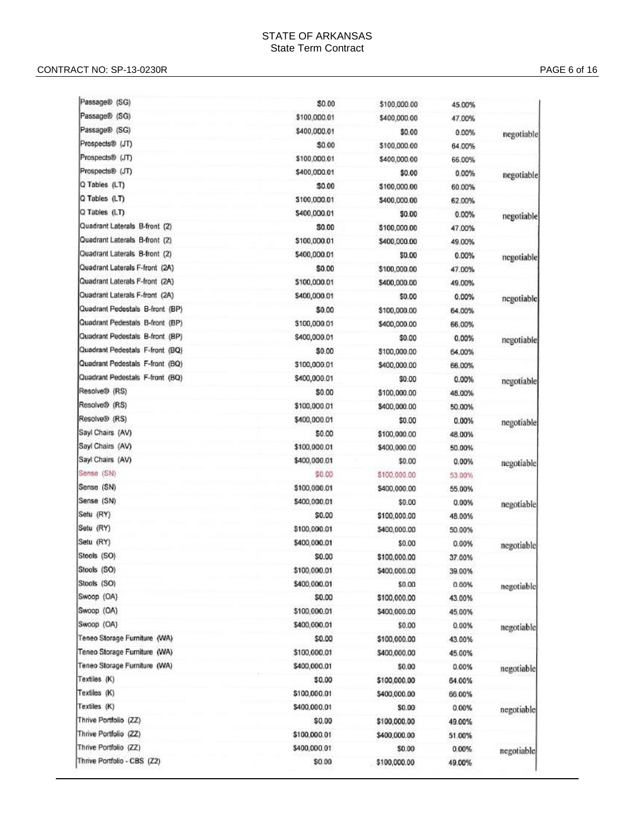#### CONTRACT NO: SP -13 -0230R PAGE

| Passage® (SG)                   | \$0.00       | \$100,000.00 | 45.00% |            |
|---------------------------------|--------------|--------------|--------|------------|
| Passage® (SG)                   | \$100,000.01 | \$400,000.00 | 47.00% |            |
| Passage® (SG)                   | \$400,000.01 | \$0.00       | 0.00%  | negotiable |
| Prospects® (JT)                 | \$0.00       | \$100,000.00 | 64.00% |            |
| Prospects® (JT)                 | \$100,000.01 | \$400,000.00 | 66.00% |            |
| Prospects® (JT)                 | \$400,000.01 | \$0.00       | 0.00%  | negotiable |
| Q Tables (LT)                   | \$0.00       | \$100,000.00 | 60.00% |            |
| Q Tables (LT)                   | \$100,000.01 | \$400,000.00 | 62.00% |            |
| Q Tables (LT)                   | \$400,000.01 | \$0.00       | 0.00%  | negotiable |
| Quadrant Laterals B-front (2)   | SO.00        | \$100,000.00 | 47.00% |            |
| Quadrant Laterals B-front (2)   | \$100,000.01 | \$400,000.00 | 49.00% |            |
| Quadrant Laterals B-front (2)   | \$400,000.01 | \$0.00       | 0.00%  | negotiable |
| Quadrant Laterals F-front (2A)  | \$0.00       | \$100,000.00 | 47.00% |            |
| Quadrant Laterals F-front (2A)  | \$100,000.01 | \$400,000.00 | 49.00% |            |
| Quadrant Laterals F-front (2A)  | \$400,000.01 | \$0.00       | 0.00%  | negotiable |
| Quadrant Pedestals B-front (BP) | \$0.00       | \$100,000.00 | 64.00% |            |
| Quadrant Pedestals B-front (BP) | \$100,000.01 | \$400,000.00 | 66.00% |            |
| Quadrant Pedestals B-front (BP) | \$400,000.01 | \$0.00       | 0.00%  | negotiable |
| Quadrant Pedestals F-front (BQ) | \$0.00       | \$100,000.00 | 64.00% |            |
| Quadrant Pedestals F-front (BQ) | \$100,000.01 | \$400,000.00 | 66.00% |            |
| Quadrant Pedestals F-front (BQ) | \$400,000.01 | \$0.00       | 0.00%  | negotiable |
| Resolve® (RS)                   | \$0.00       | \$100,000.00 | 48.00% |            |
| Resolve® (RS)                   | \$100,000.01 | \$400,000.00 | 50.00% |            |
| Resolve® (RS)                   | \$400,000.01 | \$0.00       | 0.00%  | negotiable |
| Sayl Chairs (AV)                | \$0.00       | \$100,000.00 | 48.00% |            |
| Sayl Chairs (AV)                | \$100,000.01 | \$400,000.00 | 50.00% |            |
| Sayl Chairs (AV)                | \$400,000.01 | \$0.00       | 0.00%  | negotiable |
| Sense (SN)                      | \$0.00       | \$100,000.00 | 53.00% |            |
| Sense (SN)                      | \$100,000.01 | \$400,000.00 | 55.00% |            |
| Sense (SN)                      | \$400,000.01 | \$0.00       | 0.00%  | negotiable |
| Setu (RY)                       | \$0.00       | \$100,000.00 | 48.00% |            |
| Setu (RY)                       | \$100,000.01 | \$400,000.00 | 50.00% |            |
| Setu (RY)                       | \$400,000.01 | \$0.00       | 0.00%  |            |
| Stools (SO)                     | \$0.00       | \$100,000.00 | 37.00% | negotiable |
| Stools (SO)                     | \$100,000.01 | \$400,000.00 | 39.00% |            |
| Stools (SO)                     | \$400,000.01 | \$0.00       | 0.00%  |            |
| Swoop (OA)                      | \$0.00       | \$100,000.00 | 43.00% | negotiable |
| Swoop (OA)                      | \$100,000.01 | \$400,000.00 | 45.00% |            |
| Swoop (OA)                      | \$400,000.01 | \$0.00       | 0.00%  |            |
| Teneo Storage Furniture (WA)    | \$0.00       | \$100,000.00 | 43.00% | negotiable |
| Teneo Storage Furniture (WA)    | \$100,000.01 | \$400,000.00 | 45.00% |            |
| Teneo Storage Furniture (WA)    | \$400,000.01 | \$0.00       | 0.00%  |            |
| Textiles (K)                    | \$0.00       | \$100,000.00 | 64.00% | negotiable |
| Textiles (K)                    | \$100,000.01 | \$400,000.00 | 66.00% |            |
| Textiles (K)                    | \$400,000.01 | \$0.00       | 0.00%  |            |
| Thrive Portfolio (ZZ)           | \$0.00       |              |        | negotiable |
| Thrive Portfolio (ZZ)           | \$100,000.01 | \$100,000.00 | 49.00% |            |
| Thrive Portfolio (ZZ)           | \$400,000.01 | \$400,000.00 | 51.00% |            |
| Thrive Portfolio - CBS (Z2)     |              | \$0.00       | 0.00%  | negotiable |
|                                 | \$0.00       | \$100,000.00 | 49.00% |            |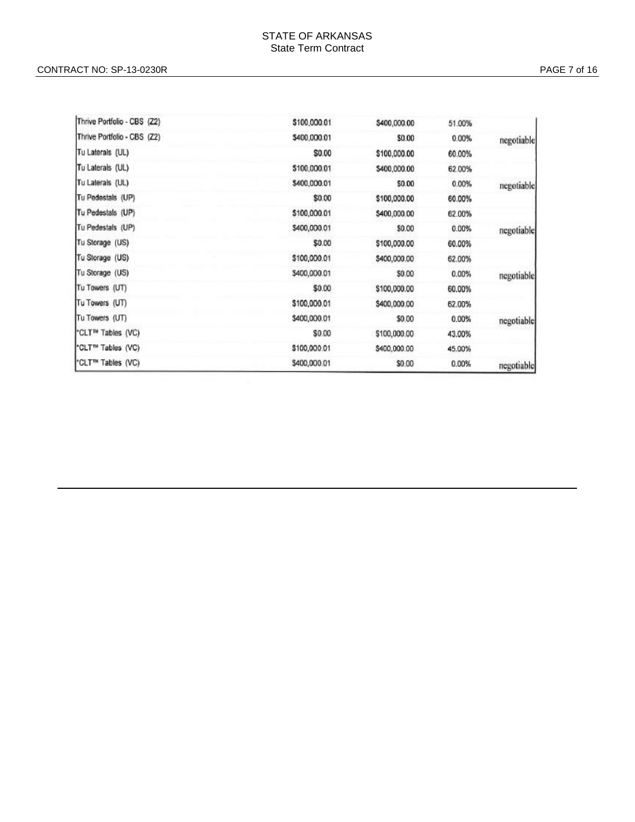| Thrive Portfolio - CBS (Z2)   | \$100,000.01 | \$400,000.00 | 51.00% |            |
|-------------------------------|--------------|--------------|--------|------------|
| Thrive Portfolio - CBS (Z2)   | \$400,000.01 | \$0.00       | 0.00%  | negotiable |
| Tu Laterals (UL)              | \$0.00       | \$100,000.00 | 60.00% |            |
| Tu Laterals (UL)              | \$100,000.01 | \$400,000.00 | 62.00% |            |
| Tu Laterals (UL)              | \$400,000.01 | \$0.00       | 0.00%  | negotiable |
| Tu Pedestals (UP)             | \$0.00       | \$100,000.00 | 60.00% |            |
| Tu Pedestals (UP)             | \$100,000.01 | \$400,000.00 | 62.00% |            |
| Tu Pedestals (UP)             | \$400,000.01 | \$0.00       | 0.00%  | negotiable |
| Tu Storage (US)               | \$0.00       | \$100,000.00 | 60.00% |            |
| Tu Storage (US)               | \$100,000.01 | \$400,000.00 | 62.00% |            |
| Tu Storage (US)               | \$400,000.01 | \$0.00       | 0.00%  | negotiable |
| Tu Towers (UT)                | \$0.00       | \$100,000.00 | 60.00% |            |
| Tu Towers (UT)                | \$100,000.01 | \$400,000.00 | 62.00% |            |
| Tu Towers (UT)                | \$400,000.01 | \$0.00       | 0.00%  | negotiable |
| "CLT™ Tables (VC)             | \$0.00       | \$100,000.00 | 43.00% |            |
| <sup>*</sup> CLT™ Tables (VC) | \$100,000.01 | \$400,000.00 | 45.00% |            |
| *CLT™ Tables (VC)             | \$400,000.01 | \$0.00       | 0.00%  | negotiable |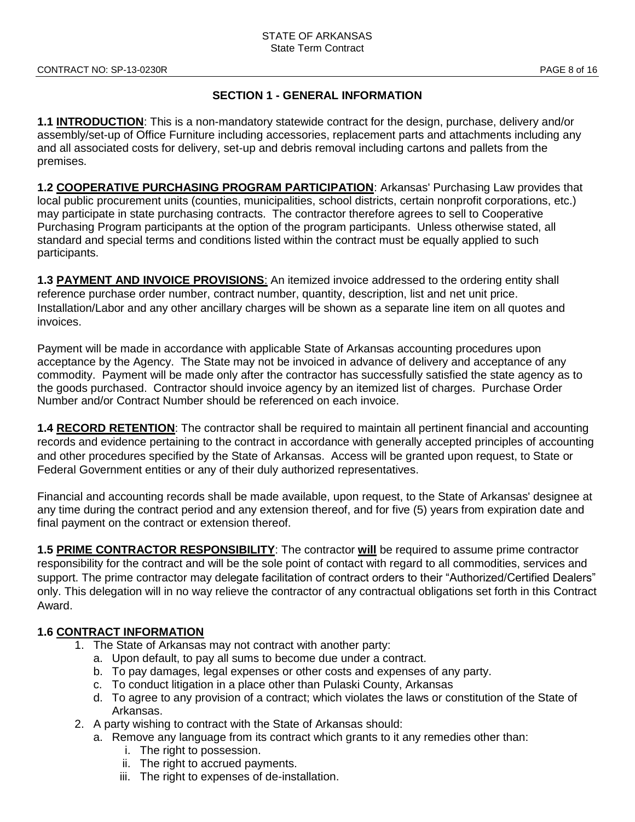### **SECTION 1 - GENERAL INFORMATION**

**1.1 INTRODUCTION**: This is a non-mandatory statewide contract for the design, purchase, delivery and/or assembly/set-up of Office Furniture including accessories, replacement parts and attachments including any and all associated costs for delivery, set-up and debris removal including cartons and pallets from the premises.

**1.2 COOPERATIVE PURCHASING PROGRAM PARTICIPATION**: Arkansas' Purchasing Law provides that local public procurement units (counties, municipalities, school districts, certain nonprofit corporations, etc.) may participate in state purchasing contracts. The contractor therefore agrees to sell to Cooperative Purchasing Program participants at the option of the program participants. Unless otherwise stated, all standard and special terms and conditions listed within the contract must be equally applied to such participants.

**1.3 PAYMENT AND INVOICE PROVISIONS**: An itemized invoice addressed to the ordering entity shall reference purchase order number, contract number, quantity, description, list and net unit price. Installation/Labor and any other ancillary charges will be shown as a separate line item on all quotes and invoices.

Payment will be made in accordance with applicable State of Arkansas accounting procedures upon acceptance by the Agency. The State may not be invoiced in advance of delivery and acceptance of any commodity. Payment will be made only after the contractor has successfully satisfied the state agency as to the goods purchased. Contractor should invoice agency by an itemized list of charges. Purchase Order Number and/or Contract Number should be referenced on each invoice.

**1.4 RECORD RETENTION**: The contractor shall be required to maintain all pertinent financial and accounting records and evidence pertaining to the contract in accordance with generally accepted principles of accounting and other procedures specified by the State of Arkansas. Access will be granted upon request, to State or Federal Government entities or any of their duly authorized representatives.

Financial and accounting records shall be made available, upon request, to the State of Arkansas' designee at any time during the contract period and any extension thereof, and for five (5) years from expiration date and final payment on the contract or extension thereof.

**1.5 PRIME CONTRACTOR RESPONSIBILITY**: The contractor **will** be required to assume prime contractor responsibility for the contract and will be the sole point of contact with regard to all commodities, services and support. The prime contractor may delegate facilitation of contract orders to their "Authorized/Certified Dealers" only. This delegation will in no way relieve the contractor of any contractual obligations set forth in this Contract Award.

### **1.6 CONTRACT INFORMATION**

- 1. The State of Arkansas may not contract with another party:
	- a. Upon default, to pay all sums to become due under a contract.
	- b. To pay damages, legal expenses or other costs and expenses of any party.
	- c. To conduct litigation in a place other than Pulaski County, Arkansas
	- d. To agree to any provision of a contract; which violates the laws or constitution of the State of Arkansas.
- 2. A party wishing to contract with the State of Arkansas should:
	- a. Remove any language from its contract which grants to it any remedies other than:
		- i. The right to possession.
		- ii. The right to accrued payments.
		- iii. The right to expenses of de-installation.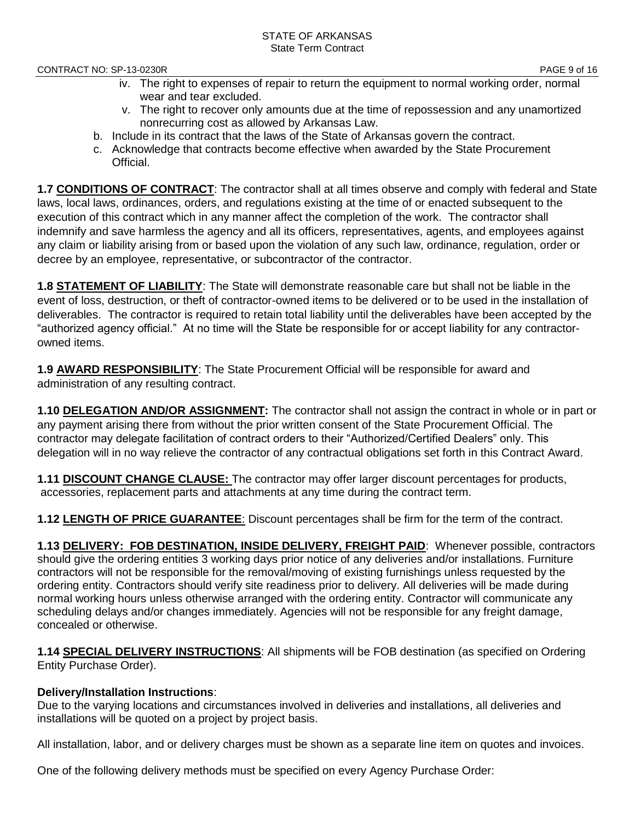- iv. The right to expenses of repair to return the equipment to normal working order, normal wear and tear excluded.
- v. The right to recover only amounts due at the time of repossession and any unamortized nonrecurring cost as allowed by Arkansas Law.
- b. Include in its contract that the laws of the State of Arkansas govern the contract.
- c. Acknowledge that contracts become effective when awarded by the State Procurement Official.

**1.7 CONDITIONS OF CONTRACT**: The contractor shall at all times observe and comply with federal and State laws, local laws, ordinances, orders, and regulations existing at the time of or enacted subsequent to the execution of this contract which in any manner affect the completion of the work. The contractor shall indemnify and save harmless the agency and all its officers, representatives, agents, and employees against any claim or liability arising from or based upon the violation of any such law, ordinance, regulation, order or decree by an employee, representative, or subcontractor of the contractor.

**1.8 STATEMENT OF LIABILITY**: The State will demonstrate reasonable care but shall not be liable in the event of loss, destruction, or theft of contractor-owned items to be delivered or to be used in the installation of deliverables. The contractor is required to retain total liability until the deliverables have been accepted by the "authorized agency official." At no time will the State be responsible for or accept liability for any contractorowned items.

**1.9 AWARD RESPONSIBILITY**: The State Procurement Official will be responsible for award and administration of any resulting contract.

**1.10 DELEGATION AND/OR ASSIGNMENT:** The contractor shall not assign the contract in whole or in part or any payment arising there from without the prior written consent of the State Procurement Official. The contractor may delegate facilitation of contract orders to their "Authorized/Certified Dealers" only. This delegation will in no way relieve the contractor of any contractual obligations set forth in this Contract Award.

**1.11 DISCOUNT CHANGE CLAUSE:** The contractor may offer larger discount percentages for products, accessories, replacement parts and attachments at any time during the contract term.

**1.12 LENGTH OF PRICE GUARANTEE**: Discount percentages shall be firm for the term of the contract.

**1.13 DELIVERY: FOB DESTINATION, INSIDE DELIVERY, FREIGHT PAID**: Whenever possible, contractors should give the ordering entities 3 working days prior notice of any deliveries and/or installations. Furniture contractors will not be responsible for the removal/moving of existing furnishings unless requested by the ordering entity. Contractors should verify site readiness prior to delivery. All deliveries will be made during normal working hours unless otherwise arranged with the ordering entity. Contractor will communicate any scheduling delays and/or changes immediately. Agencies will not be responsible for any freight damage, concealed or otherwise.

**1.14 SPECIAL DELIVERY INSTRUCTIONS**: All shipments will be FOB destination (as specified on Ordering Entity Purchase Order).

### **Delivery/Installation Instructions**:

Due to the varying locations and circumstances involved in deliveries and installations, all deliveries and installations will be quoted on a project by project basis.

All installation, labor, and or delivery charges must be shown as a separate line item on quotes and invoices.

One of the following delivery methods must be specified on every Agency Purchase Order: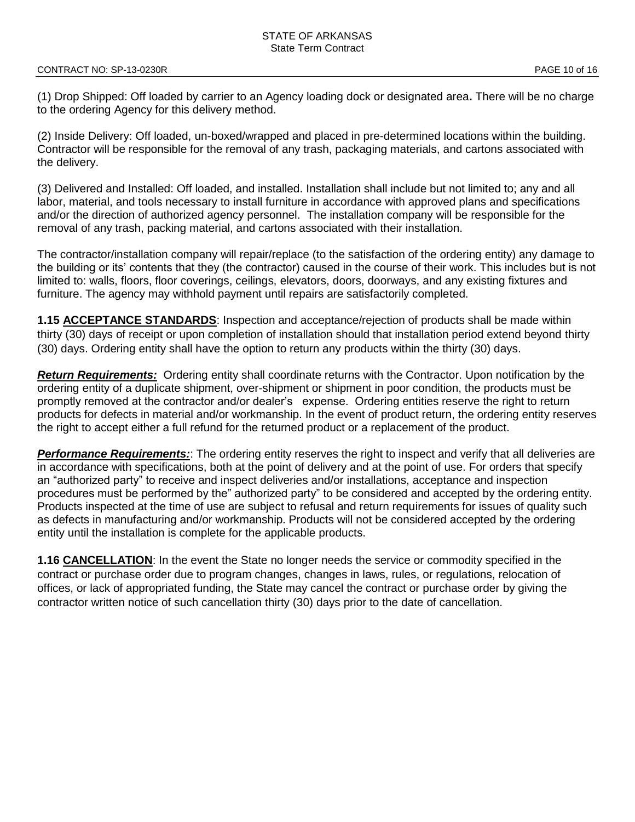(1) Drop Shipped: Off loaded by carrier to an Agency loading dock or designated area**.** There will be no charge to the ordering Agency for this delivery method.

(2) Inside Delivery: Off loaded, un-boxed/wrapped and placed in pre-determined locations within the building. Contractor will be responsible for the removal of any trash, packaging materials, and cartons associated with the delivery.

(3) Delivered and Installed: Off loaded, and installed. Installation shall include but not limited to; any and all labor, material, and tools necessary to install furniture in accordance with approved plans and specifications and/or the direction of authorized agency personnel. The installation company will be responsible for the removal of any trash, packing material, and cartons associated with their installation.

The contractor/installation company will repair/replace (to the satisfaction of the ordering entity) any damage to the building or its' contents that they (the contractor) caused in the course of their work. This includes but is not limited to: walls, floors, floor coverings, ceilings, elevators, doors, doorways, and any existing fixtures and furniture. The agency may withhold payment until repairs are satisfactorily completed.

**1.15 ACCEPTANCE STANDARDS**: Inspection and acceptance/rejection of products shall be made within thirty (30) days of receipt or upon completion of installation should that installation period extend beyond thirty (30) days. Ordering entity shall have the option to return any products within the thirty (30) days.

*Return Requirements:* Ordering entity shall coordinate returns with the Contractor. Upon notification by the ordering entity of a duplicate shipment, over-shipment or shipment in poor condition, the products must be promptly removed at the contractor and/or dealer's expense. Ordering entities reserve the right to return products for defects in material and/or workmanship. In the event of product return, the ordering entity reserves the right to accept either a full refund for the returned product or a replacement of the product.

*Performance Requirements:*: The ordering entity reserves the right to inspect and verify that all deliveries are in accordance with specifications, both at the point of delivery and at the point of use. For orders that specify an "authorized party" to receive and inspect deliveries and/or installations, acceptance and inspection procedures must be performed by the" authorized party" to be considered and accepted by the ordering entity. Products inspected at the time of use are subject to refusal and return requirements for issues of quality such as defects in manufacturing and/or workmanship. Products will not be considered accepted by the ordering entity until the installation is complete for the applicable products.

**1.16 CANCELLATION**: In the event the State no longer needs the service or commodity specified in the contract or purchase order due to program changes, changes in laws, rules, or regulations, relocation of offices, or lack of appropriated funding, the State may cancel the contract or purchase order by giving the contractor written notice of such cancellation thirty (30) days prior to the date of cancellation.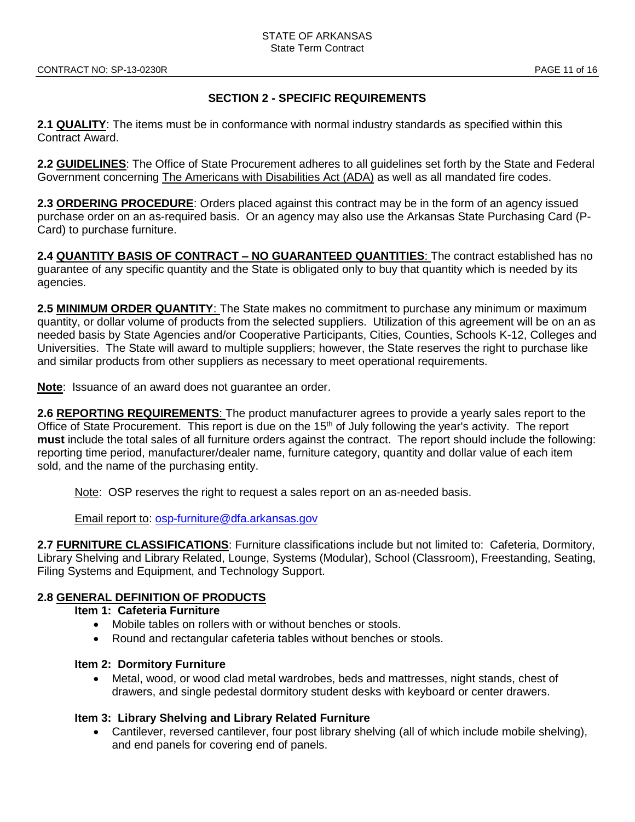### **SECTION 2 - SPECIFIC REQUIREMENTS**

**2.1 QUALITY**: The items must be in conformance with normal industry standards as specified within this Contract Award.

**2.2 GUIDELINES**: The Office of State Procurement adheres to all guidelines set forth by the State and Federal Government concerning The Americans with Disabilities Act (ADA) as well as all mandated fire codes.

**2.3 ORDERING PROCEDURE**: Orders placed against this contract may be in the form of an agency issued purchase order on an as-required basis. Or an agency may also use the Arkansas State Purchasing Card (P-Card) to purchase furniture.

**2.4 QUANTITY BASIS OF CONTRACT – NO GUARANTEED QUANTITIES**: The contract established has no guarantee of any specific quantity and the State is obligated only to buy that quantity which is needed by its agencies.

**2.5 MINIMUM ORDER QUANTITY**: The State makes no commitment to purchase any minimum or maximum quantity, or dollar volume of products from the selected suppliers. Utilization of this agreement will be on an as needed basis by State Agencies and/or Cooperative Participants, Cities, Counties, Schools K-12, Colleges and Universities. The State will award to multiple suppliers; however, the State reserves the right to purchase like and similar products from other suppliers as necessary to meet operational requirements.

**Note**: Issuance of an award does not guarantee an order.

**2.6 REPORTING REQUIREMENTS**: The product manufacturer agrees to provide a yearly sales report to the Office of State Procurement. This report is due on the 15<sup>th</sup> of July following the year's activity. The report **must** include the total sales of all furniture orders against the contract. The report should include the following: reporting time period, manufacturer/dealer name, furniture category, quantity and dollar value of each item sold, and the name of the purchasing entity.

Note: OSP reserves the right to request a sales report on an as-needed basis.

Email report to: [osp-furniture@dfa.arkansas.gov](mailto:osp-furniture@dfa.arkansas.gov)

**2.7 FURNITURE CLASSIFICATIONS**: Furniture classifications include but not limited to: Cafeteria, Dormitory, Library Shelving and Library Related, Lounge, Systems (Modular), School (Classroom), Freestanding, Seating, Filing Systems and Equipment, and Technology Support.

### **2.8 GENERAL DEFINITION OF PRODUCTS**

- **Item 1: Cafeteria Furniture** 
	- Mobile tables on rollers with or without benches or stools.
	- Round and rectangular cafeteria tables without benches or stools.

#### **Item 2: Dormitory Furniture**

• Metal, wood, or wood clad metal wardrobes, beds and mattresses, night stands, chest of drawers, and single pedestal dormitory student desks with keyboard or center drawers.

#### **Item 3: Library Shelving and Library Related Furniture**

• Cantilever, reversed cantilever, four post library shelving (all of which include mobile shelving), and end panels for covering end of panels.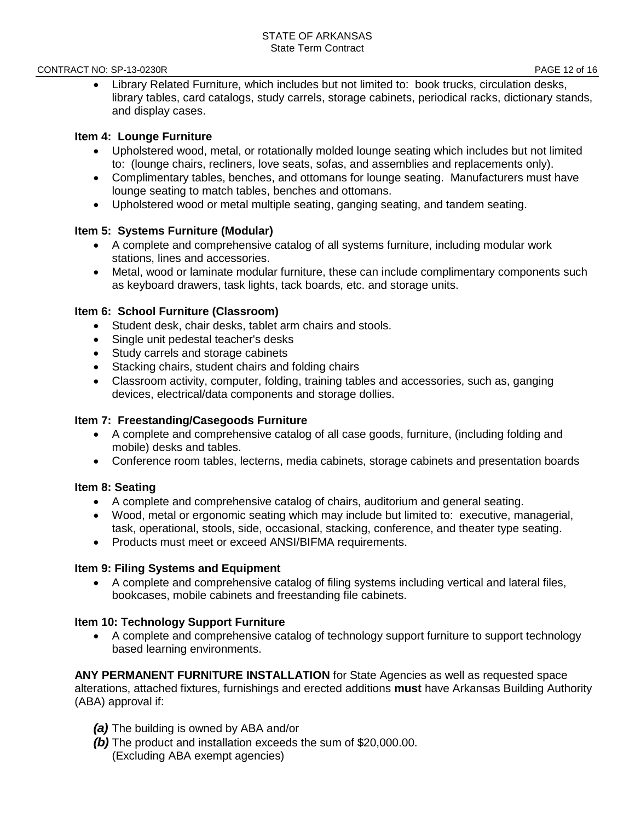#### CONTRACT NO: SP-13-0230R **PAGE 12 of 16**

• Library Related Furniture, which includes but not limited to: book trucks, circulation desks, library tables, card catalogs, study carrels, storage cabinets, periodical racks, dictionary stands, and display cases.

#### **Item 4: Lounge Furniture**

- Upholstered wood, metal, or rotationally molded lounge seating which includes but not limited to: (lounge chairs, recliners, love seats, sofas, and assemblies and replacements only).
- Complimentary tables, benches, and ottomans for lounge seating. Manufacturers must have lounge seating to match tables, benches and ottomans.
- Upholstered wood or metal multiple seating, ganging seating, and tandem seating.

#### **Item 5: Systems Furniture (Modular)**

- A complete and comprehensive catalog of all systems furniture, including modular work stations, lines and accessories.
- Metal, wood or laminate modular furniture, these can include complimentary components such as keyboard drawers, task lights, tack boards, etc. and storage units.

#### **Item 6: School Furniture (Classroom)**

- Student desk, chair desks, tablet arm chairs and stools.
- Single unit pedestal teacher's desks
- Study carrels and storage cabinets
- Stacking chairs, student chairs and folding chairs
- Classroom activity, computer, folding, training tables and accessories, such as, ganging devices, electrical/data components and storage dollies.

### **Item 7: Freestanding/Casegoods Furniture**

- A complete and comprehensive catalog of all case goods, furniture, (including folding and mobile) desks and tables.
- Conference room tables, lecterns, media cabinets, storage cabinets and presentation boards

### **Item 8: Seating**

- A complete and comprehensive catalog of chairs, auditorium and general seating.
- Wood, metal or ergonomic seating which may include but limited to: executive, managerial, task, operational, stools, side, occasional, stacking, conference, and theater type seating.
- Products must meet or exceed ANSI/BIFMA requirements.

#### **Item 9: Filing Systems and Equipment**

• A complete and comprehensive catalog of filing systems including vertical and lateral files, bookcases, mobile cabinets and freestanding file cabinets.

### **Item 10: Technology Support Furniture**

• A complete and comprehensive catalog of technology support furniture to support technology based learning environments.

**ANY PERMANENT FURNITURE INSTALLATION** for State Agencies as well as requested space alterations, attached fixtures, furnishings and erected additions **must** have Arkansas Building Authority (ABA) approval if:

- *(a)* The building is owned by ABA and/or
- *(b)* The product and installation exceeds the sum of \$20,000.00. (Excluding ABA exempt agencies)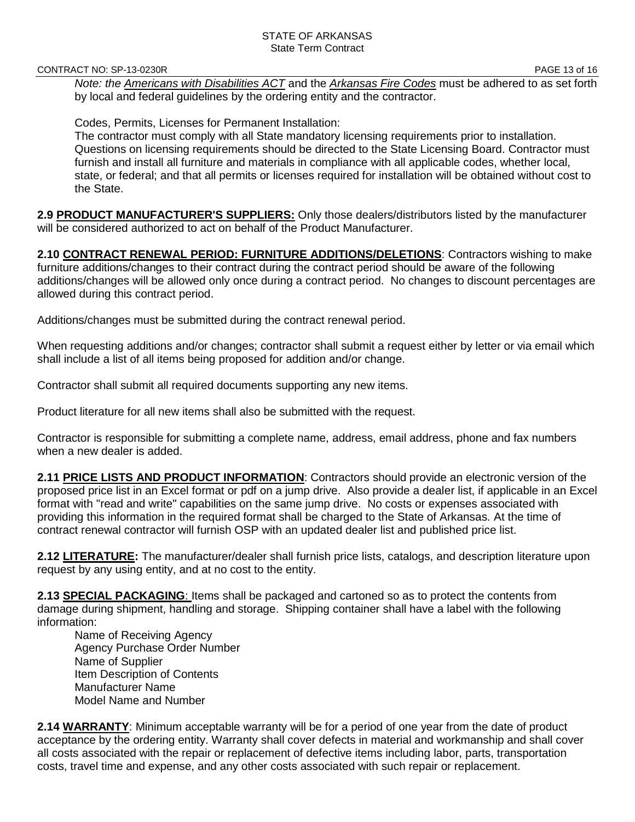CONTRACT NO: SP-13-0230R **PAGE 13 of 16** 

*Note: the Americans with Disabilities ACT* and the *Arkansas Fire Codes* must be adhered to as set forth by local and federal guidelines by the ordering entity and the contractor.

Codes, Permits, Licenses for Permanent Installation:

The contractor must comply with all State mandatory licensing requirements prior to installation. Questions on licensing requirements should be directed to the State Licensing Board. Contractor must furnish and install all furniture and materials in compliance with all applicable codes, whether local, state, or federal; and that all permits or licenses required for installation will be obtained without cost to the State.

**2.9 PRODUCT MANUFACTURER'S SUPPLIERS:** Only those dealers/distributors listed by the manufacturer will be considered authorized to act on behalf of the Product Manufacturer.

**2.10 CONTRACT RENEWAL PERIOD: FURNITURE ADDITIONS/DELETIONS**: Contractors wishing to make furniture additions/changes to their contract during the contract period should be aware of the following additions/changes will be allowed only once during a contract period. No changes to discount percentages are allowed during this contract period.

Additions/changes must be submitted during the contract renewal period.

When requesting additions and/or changes; contractor shall submit a request either by letter or via email which shall include a list of all items being proposed for addition and/or change.

Contractor shall submit all required documents supporting any new items.

Product literature for all new items shall also be submitted with the request.

Contractor is responsible for submitting a complete name, address, email address, phone and fax numbers when a new dealer is added.

**2.11 PRICE LISTS AND PRODUCT INFORMATION**: Contractors should provide an electronic version of the proposed price list in an Excel format or pdf on a jump drive. Also provide a dealer list, if applicable in an Excel format with "read and write" capabilities on the same jump drive. No costs or expenses associated with providing this information in the required format shall be charged to the State of Arkansas. At the time of contract renewal contractor will furnish OSP with an updated dealer list and published price list.

**2.12 LITERATURE:** The manufacturer/dealer shall furnish price lists, catalogs, and description literature upon request by any using entity, and at no cost to the entity.

**2.13 SPECIAL PACKAGING**: Items shall be packaged and cartoned so as to protect the contents from damage during shipment, handling and storage. Shipping container shall have a label with the following information:

Name of Receiving Agency Agency Purchase Order Number Name of Supplier Item Description of Contents Manufacturer Name Model Name and Number

**2.14 WARRANTY**: Minimum acceptable warranty will be for a period of one year from the date of product acceptance by the ordering entity. Warranty shall cover defects in material and workmanship and shall cover all costs associated with the repair or replacement of defective items including labor, parts, transportation costs, travel time and expense, and any other costs associated with such repair or replacement.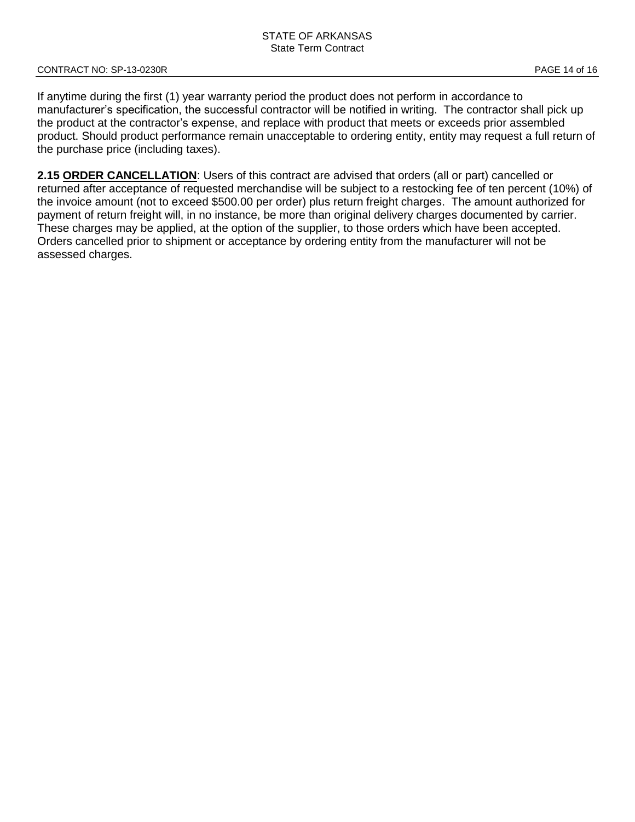If anytime during the first (1) year warranty period the product does not perform in accordance to manufacturer's specification, the successful contractor will be notified in writing. The contractor shall pick up the product at the contractor's expense, and replace with product that meets or exceeds prior assembled product. Should product performance remain unacceptable to ordering entity, entity may request a full return of the purchase price (including taxes).

**2.15 ORDER CANCELLATION**: Users of this contract are advised that orders (all or part) cancelled or returned after acceptance of requested merchandise will be subject to a restocking fee of ten percent (10%) of the invoice amount (not to exceed \$500.00 per order) plus return freight charges. The amount authorized for payment of return freight will, in no instance, be more than original delivery charges documented by carrier. These charges may be applied, at the option of the supplier, to those orders which have been accepted. Orders cancelled prior to shipment or acceptance by ordering entity from the manufacturer will not be assessed charges.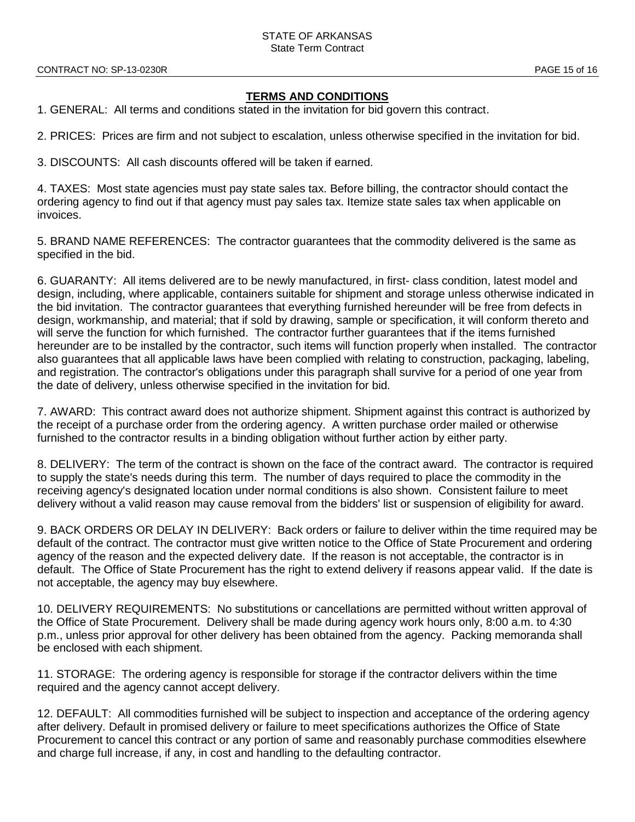#### STATE OF ARKANSAS State Term Contract

#### **TERMS AND CONDITIONS**

1. GENERAL: All terms and conditions stated in the invitation for bid govern this contract.

2. PRICES: Prices are firm and not subject to escalation, unless otherwise specified in the invitation for bid.

3. DISCOUNTS: All cash discounts offered will be taken if earned.

4. TAXES: Most state agencies must pay state sales tax. Before billing, the contractor should contact the ordering agency to find out if that agency must pay sales tax. Itemize state sales tax when applicable on invoices.

5. BRAND NAME REFERENCES: The contractor guarantees that the commodity delivered is the same as specified in the bid.

6. GUARANTY: All items delivered are to be newly manufactured, in first- class condition, latest model and design, including, where applicable, containers suitable for shipment and storage unless otherwise indicated in the bid invitation. The contractor guarantees that everything furnished hereunder will be free from defects in design, workmanship, and material; that if sold by drawing, sample or specification, it will conform thereto and will serve the function for which furnished. The contractor further guarantees that if the items furnished hereunder are to be installed by the contractor, such items will function properly when installed. The contractor also guarantees that all applicable laws have been complied with relating to construction, packaging, labeling, and registration. The contractor's obligations under this paragraph shall survive for a period of one year from the date of delivery, unless otherwise specified in the invitation for bid.

7. AWARD: This contract award does not authorize shipment. Shipment against this contract is authorized by the receipt of a purchase order from the ordering agency. A written purchase order mailed or otherwise furnished to the contractor results in a binding obligation without further action by either party.

8. DELIVERY: The term of the contract is shown on the face of the contract award. The contractor is required to supply the state's needs during this term. The number of days required to place the commodity in the receiving agency's designated location under normal conditions is also shown. Consistent failure to meet delivery without a valid reason may cause removal from the bidders' list or suspension of eligibility for award.

9. BACK ORDERS OR DELAY IN DELIVERY: Back orders or failure to deliver within the time required may be default of the contract. The contractor must give written notice to the Office of State Procurement and ordering agency of the reason and the expected delivery date. If the reason is not acceptable, the contractor is in default. The Office of State Procurement has the right to extend delivery if reasons appear valid. If the date is not acceptable, the agency may buy elsewhere.

10. DELIVERY REQUIREMENTS: No substitutions or cancellations are permitted without written approval of the Office of State Procurement. Delivery shall be made during agency work hours only, 8:00 a.m. to 4:30 p.m., unless prior approval for other delivery has been obtained from the agency. Packing memoranda shall be enclosed with each shipment.

11. STORAGE: The ordering agency is responsible for storage if the contractor delivers within the time required and the agency cannot accept delivery.

12. DEFAULT: All commodities furnished will be subject to inspection and acceptance of the ordering agency after delivery. Default in promised delivery or failure to meet specifications authorizes the Office of State Procurement to cancel this contract or any portion of same and reasonably purchase commodities elsewhere and charge full increase, if any, in cost and handling to the defaulting contractor.